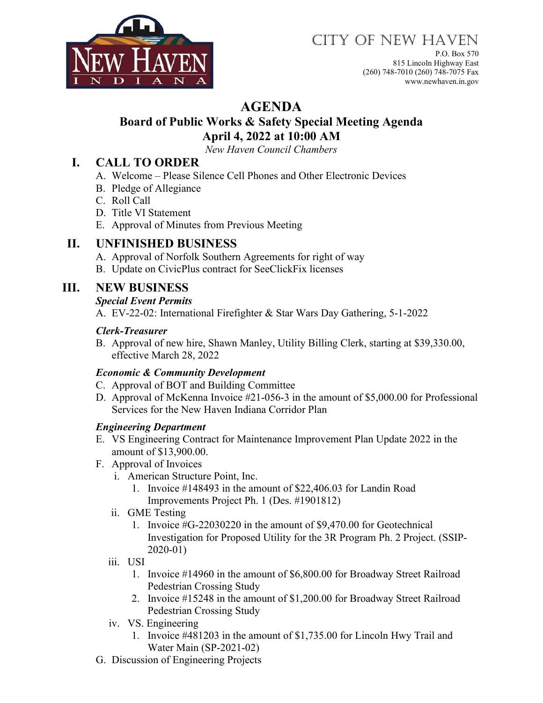

# CITY OF NEW HAVEN

P.O. Box 570 815 Lincoln Highway East (260) 748-7010 (260) 748-7075 Fax www.newhaven.in.gov

# **AGENDA**

### **Board of Public Works & Safety Special Meeting Agenda April 4, 2022 at 10:00 AM**

*New Haven Council Chambers*

## **I. CALL TO ORDER**

- A. Welcome Please Silence Cell Phones and Other Electronic Devices
- B. Pledge of Allegiance
- C. Roll Call
- D. Title VI Statement
- E. Approval of Minutes from Previous Meeting

### **II. UNFINISHED BUSINESS**

- A. Approval of Norfolk Southern Agreements for right of way
- B. Update on CivicPlus contract for SeeClickFix licenses

# **III. NEW BUSINESS**

#### *Special Event Permits*

A. EV-22-02: International Firefighter & Star Wars Day Gathering, 5-1-2022

#### *Clerk-Treasurer*

B. Approval of new hire, Shawn Manley, Utility Billing Clerk, starting at \$39,330.00, effective March 28, 2022

#### *Economic & Community Development*

- C. Approval of BOT and Building Committee
- D. Approval of McKenna Invoice #21-056-3 in the amount of \$5,000.00 for Professional Services for the New Haven Indiana Corridor Plan

#### *Engineering Department*

- E. VS Engineering Contract for Maintenance Improvement Plan Update 2022 in the amount of \$13,900.00.
- F. Approval of Invoices
	- i. American Structure Point, Inc.
		- 1. Invoice #148493 in the amount of \$22,406.03 for Landin Road Improvements Project Ph. 1 (Des. #1901812)
	- ii. GME Testing
		- 1. Invoice #G-22030220 in the amount of \$9,470.00 for Geotechnical Investigation for Proposed Utility for the 3R Program Ph. 2 Project. (SSIP-2020-01)
	- iii. USI
		- 1. Invoice #14960 in the amount of \$6,800.00 for Broadway Street Railroad Pedestrian Crossing Study
		- 2. Invoice #15248 in the amount of \$1,200.00 for Broadway Street Railroad Pedestrian Crossing Study
	- iv. VS. Engineering
		- 1. Invoice #481203 in the amount of \$1,735.00 for Lincoln Hwy Trail and Water Main (SP-2021-02)
- G. Discussion of Engineering Projects